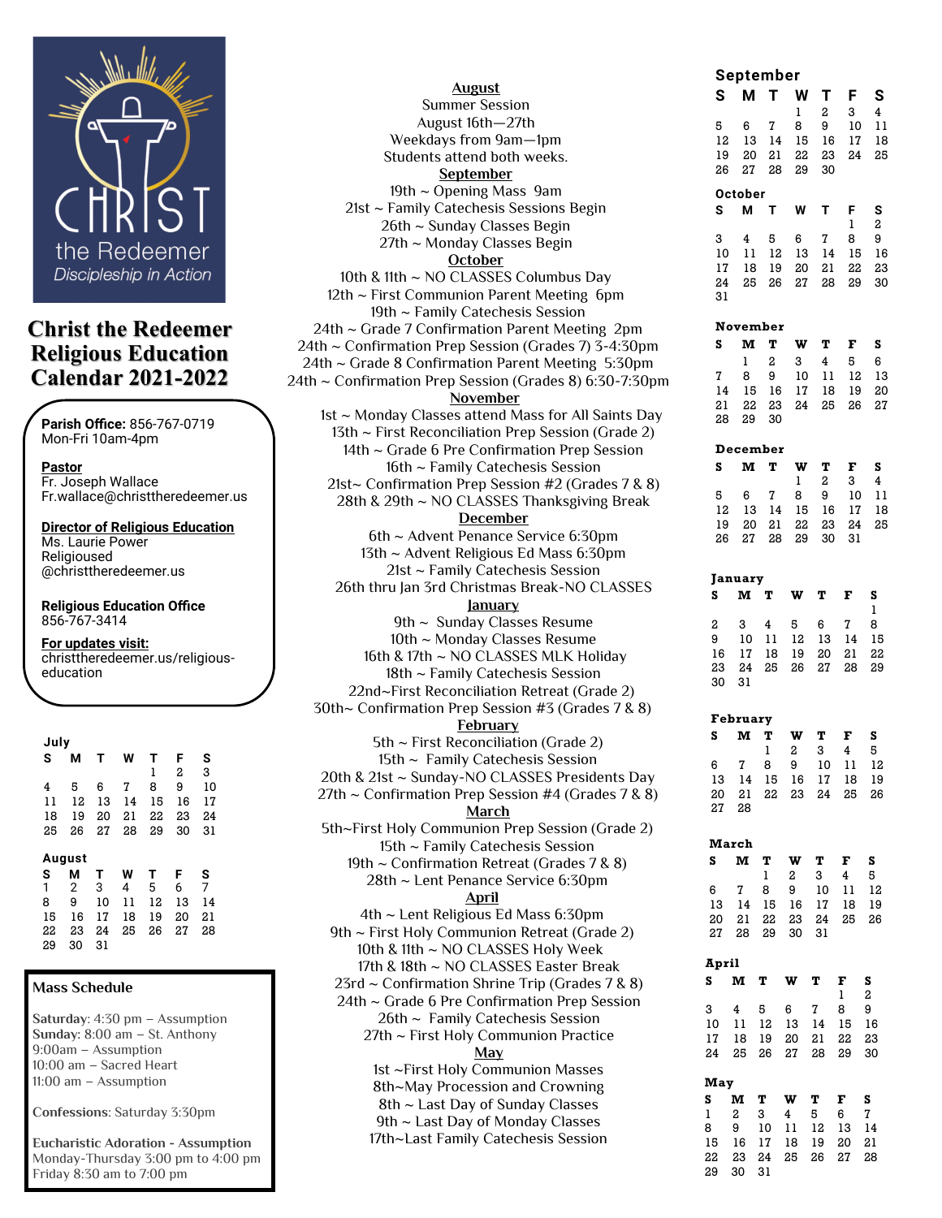

# **Christ the Redeemer Religious Education Calendar 2021-2022**

**Parish Office:** 856-767-0719 Mon-Fri 10am-4pm

**Pastor**  Fr. Joseph Wallace Fr.wallace@christtheredeemer.us

**Director of Religious Education** Ms. Laurie Power Religioused @christtheredeemer.us

**Religious Education Office**  856-767-3414

**For updates visit:**

christtheredeemer.us/religiouseducation

| July |                |    |    |    |    |    |  |  |
|------|----------------|----|----|----|----|----|--|--|
| S    | М              | т  | W  | т  | F  | s  |  |  |
|      |                |    |    | ı  | 2  | 3  |  |  |
| 4    | 5              | 6  | 7  | 8  | 9  | 10 |  |  |
| 11   | 12             | 13 | 14 | 15 | 16 | 17 |  |  |
| 18   | 19             | 20 | 21 | 22 | 23 | 24 |  |  |
| 25   | 26             | 27 | 28 | 29 | 30 | 31 |  |  |
|      |                |    |    |    |    |    |  |  |
|      | August         |    |    |    |    |    |  |  |
| S    | М              | т  | W  | т  | F  | s  |  |  |
| 1    | $\overline{2}$ | 3  | 4  | 5  | 6  | 7  |  |  |
| 8    | 9              | 10 | 11 | 12 | 13 | 14 |  |  |
| 15   | 16             | 17 | 18 | 19 | 20 | 21 |  |  |
| 22   | 23             | 24 | 25 | 26 | 27 | 28 |  |  |
| 29   | 30             | 31 |    |    |    |    |  |  |

#### **Mass Schedule**

**Saturday**: 4:30 pm – Assumption **Sunday:** 8:00 am – St. Anthony 9:00am – Assumption 10:00 am – Sacred Heart 11:00 am – Assumption

**Confessions**: Saturday 3:30pm

**Eucharistic Adoration - Assumption**  Monday-Thursday 3:00 pm to 4:00 pm Friday 8:30 am to 7:00 pm

| <b>August</b>                                           |
|---------------------------------------------------------|
| <b>Summer Session</b>                                   |
| August 16th-27th                                        |
| Weekdays from 9am-1pm                                   |
| Students attend both weeks.                             |
| <b>September</b>                                        |
| 19th ~ Opening Mass 9am                                 |
| 21st ~ Family Catechesis Sessions Begin                 |
| 26th ~ Sunday Classes Begin                             |
| 27th ~ Monday Classes Begin                             |
| <b>October</b>                                          |
| 10th & 11th ~ NO CLASSES Columbus Day                   |
| 12th ~ First Communion Parent Meeting 6pm               |
| 19th ~ Family Catechesis Session                        |
| 24th ~ Grade 7 Confirmation Parent Meeting 2pm          |
| 24th ~ Confirmation Prep Session (Grades 7) 3-4:30pm    |
| 24th ~ Grade 8 Confirmation Parent Meeting 5:30pm       |
|                                                         |
| 24th ~ Confirmation Prep Session (Grades 8) 6:30-7:30pm |
| November                                                |
| 1st ~ Monday Classes attend Mass for All Saints Day     |
| 13th ~ First Reconciliation Prep Session (Grade 2)      |
| 14th ~ Grade 6 Pre Confirmation Prep Session            |
| 16th ~ Family Catechesis Session                        |
| 21st~ Confirmation Prep Session #2 (Grades 7 & 8)       |
| 28th & 29th ~ NO CLASSES Thanksgiving Break             |
| <b>December</b>                                         |
| 6th ~ Advent Penance Service 6:30pm                     |
| 13th ~ Advent Religious Ed Mass 6:30pm                  |
| 21st ~ Family Catechesis Session                        |
| 26th thru Jan 3rd Christmas Break-NO CLASSES            |
| <u>anuary</u>                                           |
| 9th ~ Sunday Classes Resume                             |
| 10th ~ Monday Classes Resume                            |
| 16th & 17th ~ NO CLASSES MLK Holiday                    |
| 18th ~ Family Catechesis Session                        |
|                                                         |
| 22nd~First Reconciliation Retreat (Grade 2)             |
| 30th~ Confirmation Prep Session #3 (Grades 7 & 8)       |
| <b>February</b>                                         |
| 5th $\sim$ First Reconciliation (Grade 2)               |
| 15th ~ Family Catechesis Session                        |
| 20th & 21st ~ Sunday-NO CLASSES Presidents Day          |
| 27th $\sim$ Confirmation Prep Session #4 (Grades 7 & 8) |
| <b>March</b>                                            |
| 5th~First Holy Communion Prep Session (Grade 2)         |
| 15th ~ Family Catechesis Session                        |
| 19th $\sim$ Confirmation Retreat (Grades 7 & 8)         |
| 28th ~ Lent Penance Service 6:30pm                      |
| <u>April</u>                                            |
| 4th ~ Lent Religious Ed Mass 6:30pm                     |
| 9th ~ First Holy Communion Retreat (Grade 2)            |
| 10th & 11th ~ NO CLASSES Holy Week                      |
| 17th & 18th ~ NO CLASSES Easter Break                   |
| 23rd ~ Confirmation Shrine Trip (Grades 7 & 8)          |
| 24th ~ Grade 6 Pre Confirmation Prep Session            |
|                                                         |
| 26th ~ Family Catechesis Session                        |
| 27th ~ First Holy Communion Practice                    |
| <b>May</b>                                              |
| 1st ~First Holy Communion Masses                        |
| 8th~May Procession and Crowning                         |
| 8th ~ Last Day of Sunday Classes                        |
| 9th ~ Last Day of Monday Classes                        |
| 17th~Last Family Catechesis Session                     |

#### **September**

| S              |    |    | w  | т  | F  | S              |  |  |
|----------------|----|----|----|----|----|----------------|--|--|
|                |    |    | ı  | 2  | 3  | 4              |  |  |
| 5              | 6  | 7  | 8  | 9  | 10 | 11             |  |  |
| 12             | 13 | 14 | 15 | 16 | 17 | 18             |  |  |
| 19             | 20 | 21 | 22 | 23 | 24 | 25             |  |  |
| 26             | 27 | 28 | 29 | 30 |    |                |  |  |
| <b>October</b> |    |    |    |    |    |                |  |  |
|                |    |    |    |    |    |                |  |  |
| s              | М  | т  | W  | т  | F  | s              |  |  |
|                |    |    |    |    | ı  | $\overline{a}$ |  |  |
| 3              | 4  | 5  | 6  | 7  | 8  | 9              |  |  |
| 10             | 11 | 12 | 13 | 14 | 15 | 16             |  |  |
| 17             | 18 | 19 | 20 | 21 | 22 | 23             |  |  |
| 24             | 25 | 26 | 27 | 28 | 29 | 30             |  |  |

| November |          |    |    |    |    |    |  |  |
|----------|----------|----|----|----|----|----|--|--|
| S        | м        | т  | w  | т  | F  | s  |  |  |
|          | ı        | 2  | 3  | 4  | 5  | 6  |  |  |
| 7        | 8        | 9  | 10 | 11 | 12 | 13 |  |  |
| 14       | 15       | 16 | 17 | 18 | 19 | 20 |  |  |
| 21       | 22       | 23 | 24 | 25 | 26 | 27 |  |  |
| 28       | 29       | 30 |    |    |    |    |  |  |
|          | December |    |    |    |    |    |  |  |
| S        | м        | т  | w  | т  | F  | s  |  |  |
|          |          |    | ı  | 2  | 3  | 4  |  |  |
| 5        | 6        | 7  | 8  | 9  | 10 | 11 |  |  |
| 12       | 13       | 14 | 15 | 16 | 17 | 18 |  |  |

19 20 21 22 23 24 25 26 27 28 29 30 31

| <b>January</b> |    |      |     |       |      |    |  |  |
|----------------|----|------|-----|-------|------|----|--|--|
| s              | м  | т    | w   | - т   | F    | s  |  |  |
|                |    |      |     |       |      | 1  |  |  |
| $\mathbf{2}$   | 3  | 4    | 5   | 6     | - 7  | 8  |  |  |
| 9              | 10 | 11   | 12  | 13    | 14   | 15 |  |  |
| 16             | 17 | 18   | -19 | 20    | -21  | 22 |  |  |
| 23             | 24 | - 25 |     | 26 27 | - 28 | 29 |  |  |
| 30             | 31 |      |     |       |      |    |  |  |

#### **February**

| s     |                                        |              | MTWTFS  |  |  |
|-------|----------------------------------------|--------------|---------|--|--|
|       |                                        | $\mathbf{1}$ | 2 3 4 5 |  |  |
| 6.    | 7 8 9 10 11 12                         |              |         |  |  |
|       | 13    14    15    16    17    18    19 |              |         |  |  |
|       | 20 21 22 23 24 25 26                   |              |         |  |  |
| 27 28 |                                        |              |         |  |  |
|       |                                        |              |         |  |  |

#### **March**

| SMTWTFS              |  |                     |  |
|----------------------|--|---------------------|--|
|                      |  | $1 \t2 \t3 \t4 \t5$ |  |
| 6 7 8 9 10 11 12     |  |                     |  |
| 13 14 15 16 17 18 19 |  |                     |  |
| 20 21 22 23 24 25 26 |  |                     |  |
| 27  28  29  30  31   |  |                     |  |
|                      |  |                     |  |

| April |    |    |    |    |    |    |  |  |
|-------|----|----|----|----|----|----|--|--|
| S     | M  | т  | w  | т  | F  | s  |  |  |
|       |    |    |    |    | 1  | 2  |  |  |
| 3     | 4  | 5  | 6  | 7  | 8  | 9  |  |  |
| 10    | 11 | 12 | 13 | 14 | 15 | 16 |  |  |
| 17    | 18 | 19 | 20 | 21 | 22 | 23 |  |  |
| 24    | 25 | 26 | 27 | 28 | 29 | 30 |  |  |
|       |    |    |    |    |    |    |  |  |
| May   |    |    |    |    |    |    |  |  |
| S     | м  | т  | w  | т  | F  | s  |  |  |
| 1     | 2  | 3  | 4  | 5  | 6  | 7  |  |  |
| 8     | 9  | 10 | 11 | 12 | 13 | 14 |  |  |
| 15    | 16 | 17 | 18 | 19 | 20 | 21 |  |  |
| 22    | 23 | 24 | 25 | 26 | 27 | 28 |  |  |
| 29    | 30 | 31 |    |    |    |    |  |  |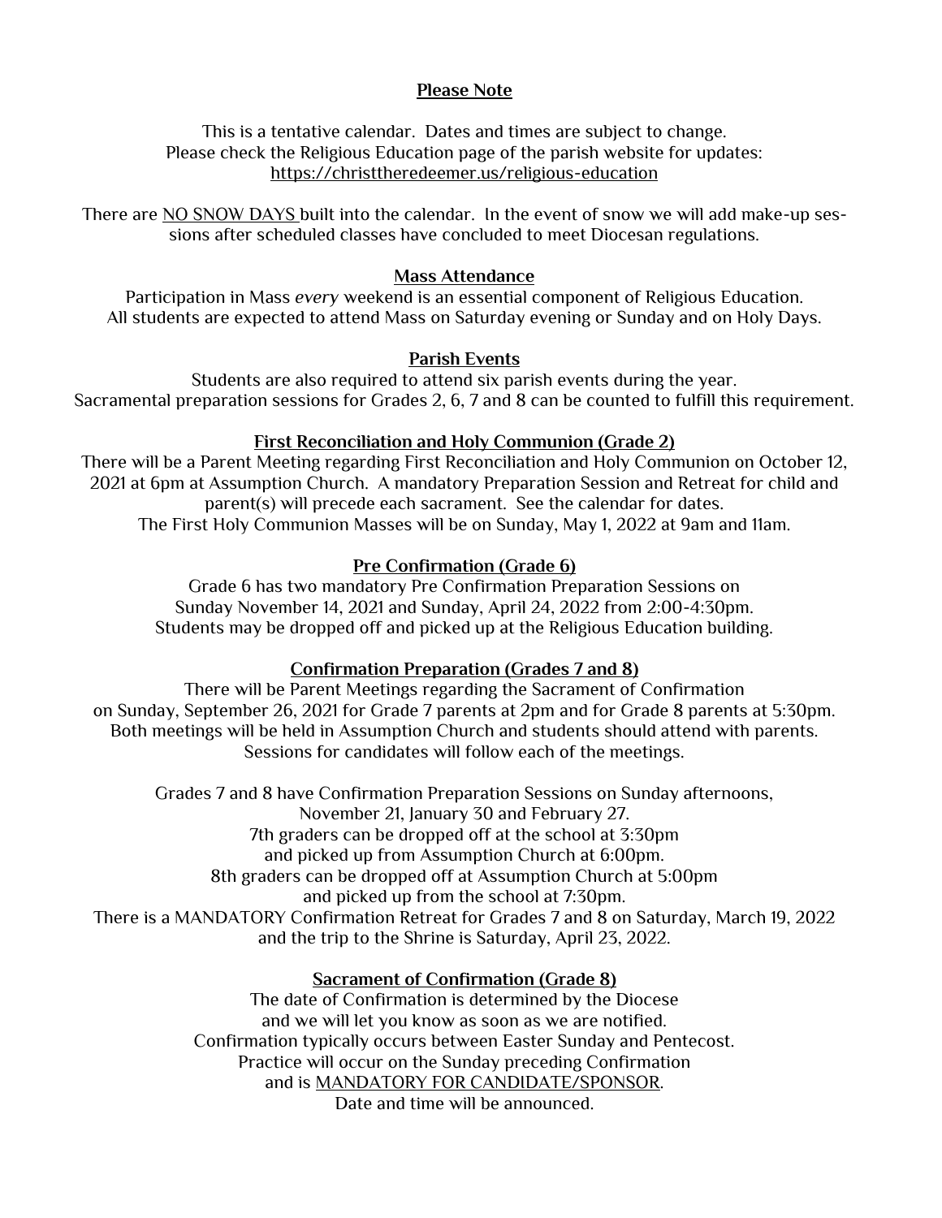## **Please Note**

This is a tentative calendar. Dates and times are subject to change. Please check the Religious Education page of the parish website for updates: https://christtheredeemer.us/religious-education

There are NO SNOW DAYS built into the calendar. In the event of snow we will add make-up sessions after scheduled classes have concluded to meet Diocesan regulations.

## **Mass Attendance**

Participation in Mass *every* weekend is an essential component of Religious Education. All students are expected to attend Mass on Saturday evening or Sunday and on Holy Days.

## **Parish Events**

Students are also required to attend six parish events during the year. Sacramental preparation sessions for Grades 2, 6, 7 and 8 can be counted to fulfill this requirement.

## **First Reconciliation and Holy Communion (Grade 2)**

There will be a Parent Meeting regarding First Reconciliation and Holy Communion on October 12, 2021 at 6pm at Assumption Church. A mandatory Preparation Session and Retreat for child and parent(s) will precede each sacrament. See the calendar for dates. The First Holy Communion Masses will be on Sunday, May 1, 2022 at 9am and 11am.

## **Pre Confirmation (Grade 6)**

Grade 6 has two mandatory Pre Confirmation Preparation Sessions on Sunday November 14, 2021 and Sunday, April 24, 2022 from 2:00-4:30pm. Students may be dropped off and picked up at the Religious Education building.

## **Confirmation Preparation (Grades 7 and 8)**

There will be Parent Meetings regarding the Sacrament of Confirmation on Sunday, September 26, 2021 for Grade 7 parents at 2pm and for Grade 8 parents at 5:30pm. Both meetings will be held in Assumption Church and students should attend with parents. Sessions for candidates will follow each of the meetings.

Grades 7 and 8 have Confirmation Preparation Sessions on Sunday afternoons, November 21, January 30 and February 27. 7th graders can be dropped off at the school at 3:30pm and picked up from Assumption Church at 6:00pm. 8th graders can be dropped off at Assumption Church at 5:00pm and picked up from the school at 7:30pm. There is a MANDATORY Confirmation Retreat for Grades 7 and 8 on Saturday, March 19, 2022 and the trip to the Shrine is Saturday, April 23, 2022.

## **Sacrament of Confirmation (Grade 8)**

The date of Confirmation is determined by the Diocese and we will let you know as soon as we are notified. Confirmation typically occurs between Easter Sunday and Pentecost. Practice will occur on the Sunday preceding Confirmation and is MANDATORY FOR CANDIDATE/SPONSOR. Date and time will be announced.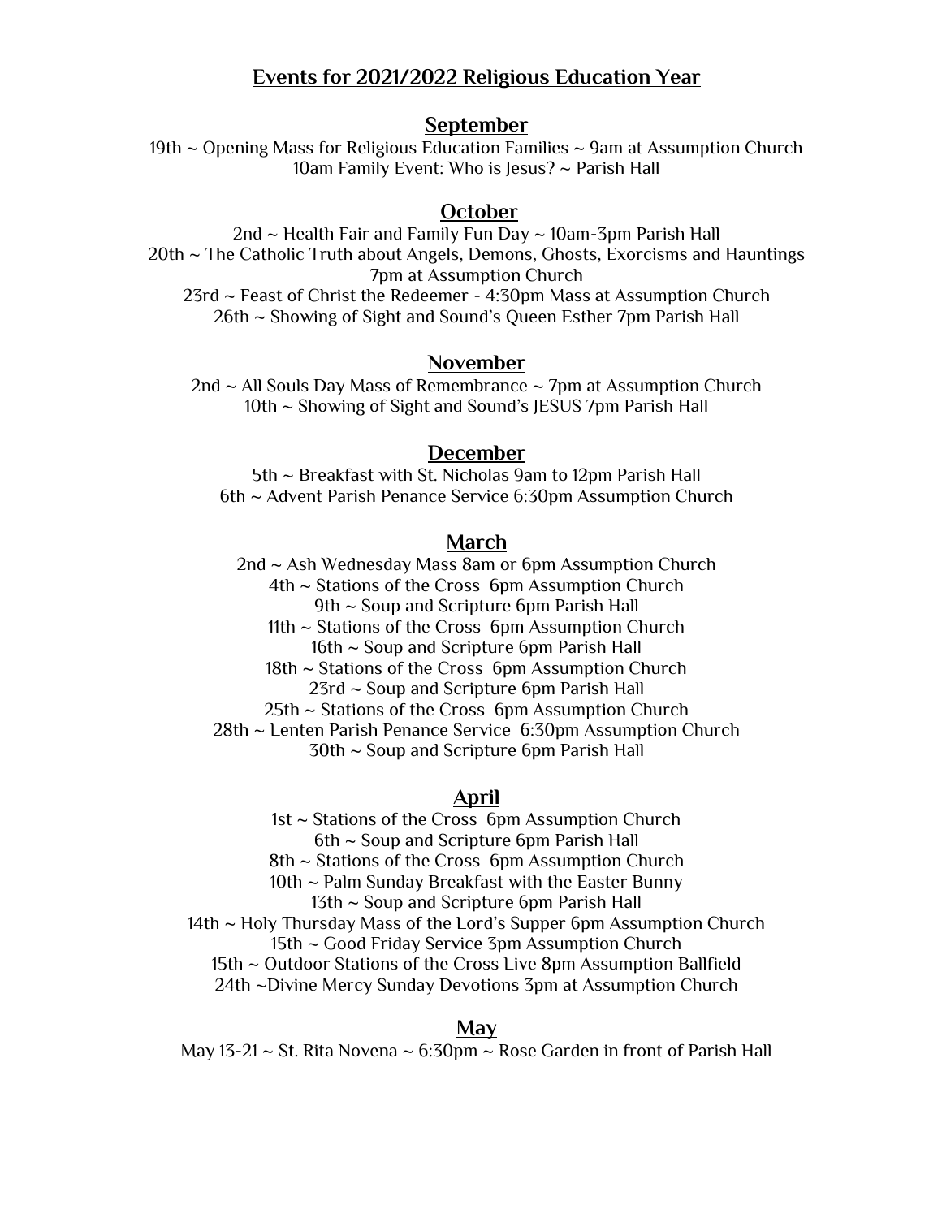## **Events for 2021/2022 Religious Education Year**

#### **September**

19th ~ Opening Mass for Religious Education Families ~ 9am at Assumption Church 10am Family Event: Who is Jesus? ~ Parish Hall

## **October**

2nd  $\sim$  Health Fair and Family Fun Day  $\sim$  10am-3pm Parish Hall 20th ~ The Catholic Truth about Angels, Demons, Ghosts, Exorcisms and Hauntings 7pm at Assumption Church 23rd ~ Feast of Christ the Redeemer - 4:30pm Mass at Assumption Church 26th ~ Showing of Sight and Sound's Queen Esther 7pm Parish Hall

#### **November**

2nd  $\sim$  All Souls Day Mass of Remembrance  $\sim$  7pm at Assumption Church 10th ~ Showing of Sight and Sound's JESUS 7pm Parish Hall

#### **December**

5th ~ Breakfast with St. Nicholas 9am to 12pm Parish Hall 6th ~ Advent Parish Penance Service 6:30pm Assumption Church

#### **March**

2nd ~ Ash Wednesday Mass 8am or 6pm Assumption Church 4th ~ Stations of the Cross 6pm Assumption Church 9th ~ Soup and Scripture 6pm Parish Hall 11th ~ Stations of the Cross 6pm Assumption Church 16th ~ Soup and Scripture 6pm Parish Hall 18th ~ Stations of the Cross 6pm Assumption Church 23rd ~ Soup and Scripture 6pm Parish Hall 25th ~ Stations of the Cross 6pm Assumption Church 28th ~ Lenten Parish Penance Service 6:30pm Assumption Church 30th ~ Soup and Scripture 6pm Parish Hall

#### **April**

1st ~ Stations of the Cross 6pm Assumption Church 6th ~ Soup and Scripture 6pm Parish Hall 8th ~ Stations of the Cross 6pm Assumption Church 10th ~ Palm Sunday Breakfast with the Easter Bunny 13th ~ Soup and Scripture 6pm Parish Hall 14th ~ Holy Thursday Mass of the Lord's Supper 6pm Assumption Church 15th ~ Good Friday Service 3pm Assumption Church 15th ~ Outdoor Stations of the Cross Live 8pm Assumption Ballfield 24th ~Divine Mercy Sunday Devotions 3pm at Assumption Church

#### **May**

May 13-21  $\sim$  St. Rita Novena  $\sim$  6:30pm  $\sim$  Rose Garden in front of Parish Hall